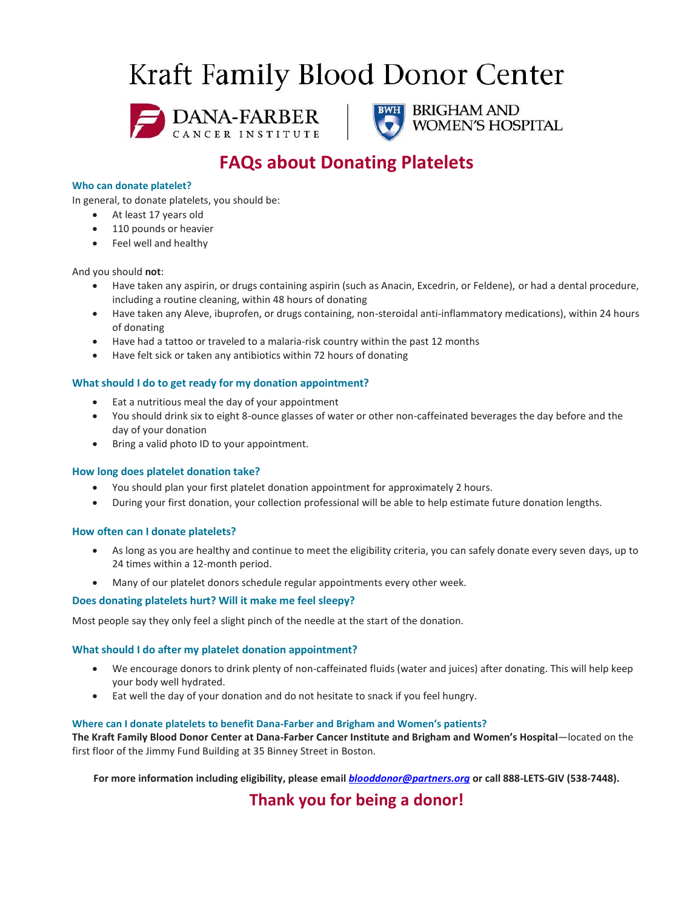# Kraft Family Blood Donor Center





## BRIGHAM AND WOMEN'S HOSPITAL

## **FAQs about Donating Platelets**

## **Who can donate platelet?**

In general, to donate platelets, you should be:

- At least 17 years old
- 110 pounds or heavier
- Feel well and healthy

## And you should **not**:

- Have taken any aspirin, or drugs containing aspirin (such as Anacin, Excedrin, or Feldene), or had a dental procedure, including a routine cleaning, within 48 hours of donating
- Have taken any Aleve, ibuprofen, or drugs containing, non-steroidal anti-inflammatory medications), within 24 hours of donating
- Have had a tattoo or traveled to a malaria-risk country within the past 12 months
- Have felt sick or taken any antibiotics within 72 hours of donating

## **What should I do to get ready for my donation appointment?**

- Eat a nutritious meal the day of your appointment
- You should drink six to eight 8-ounce glasses of water or other non-caffeinated beverages the day before and the day of your donation
- Bring a valid photo ID to your appointment.

## **How long does platelet donation take?**

- You should plan your first platelet donation appointment for approximately 2 hours.
- During your first donation, your collection professional will be able to help estimate future donation lengths.

## **How often can I donate platelets?**

- As long as you are healthy and continue to meet the eligibility criteria, you can safely donate every seven days, up to 24 times within a 12-month period.
- Many of our platelet donors schedule regular appointments every other week.

## **Does donating platelets hurt? Will it make me feel sleepy?**

Most people say they only feel a slight pinch of the needle at the start of the donation.

## **What should I do after my platelet donation appointment?**

- We encourage donors to drink plenty of non-caffeinated fluids (water and juices) after donating. This will help keep your body well hydrated.
- Eat well the day of your donation and do not hesitate to snack if you feel hungry.

## **Where can I donate platelets to benefit Dana-Farber and Brigham and Women's patients?**

**The Kraft Family Blood Donor Center at Dana-Farber Cancer Institute and Brigham and Women's Hospital**—located on the first floor of the Jimmy Fund Building at 35 Binney Street in Boston.

**For more information including eligibility, please email** *[blooddonor@partners.org](mailto:blooddonor@partners.org)* **or call 888-LETS-GIV (538-7448).**

**Thank you for being a donor!**